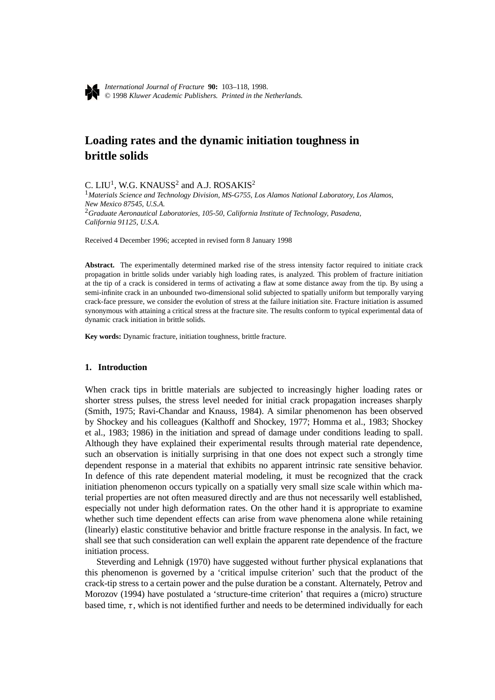

# **Loading rates and the dynamic initiation toughness in brittle solids**

C. LIU<sup>1</sup>, W.G. KNAUSS<sup>2</sup> and A.J. ROSAKIS<sup>2</sup>

<sup>1</sup>*Materials Science and Technology Division, MS-G755, Los Alamos National Laboratory, Los Alamos, New Mexico 87545, U.S.A.* <sup>2</sup>*Graduate Aeronautical Laboratories, 105-50, California Institute of Technology, Pasadena, California 91125, U.S.A.*

Received 4 December 1996; accepted in revised form 8 January 1998

Abstract. The experimentally determined marked rise of the stress intensity factor required to initiate crack propagation in brittle solids under variably high loading rates, is analyzed. This problem of fracture initiation at the tip of a crack is considered in terms of activating a flaw at some distance away from the tip. By using a semi-infinite crack in an unbounded two-dimensional solid subjected to spatially uniform but temporally varying crack-face pressure, we consider the evolution of stress at the failure initiation site. Fracture initiation is assumed synonymous with attaining a critical stress at the fracture site. The results conform to typical experimental data of dynamic crack initiation in brittle solids.

**Key words:** Dynamic fracture, initiation toughness, brittle fracture.

## **1. Introduction**

When crack tips in brittle materials are subjected to increasingly higher loading rates or shorter stress pulses, the stress level needed for initial crack propagation increases sharply (Smith, 1975; Ravi-Chandar and Knauss, 1984). A similar phenomenon has been observed by Shockey and his colleagues (Kalthoff and Shockey, 1977; Homma et al., 1983; Shockey et al., 1983; 1986) in the initiation and spread of damage under conditions leading to spall. Although they have explained their experimental results through material rate dependence, such an observation is initially surprising in that one does not expect such a strongly time dependent response in a material that exhibits no apparent intrinsic rate sensitive behavior. In defence of this rate dependent material modeling, it must be recognized that the crack initiation phenomenon occurs typically on a spatially very small size scale within which material properties are not often measured directly and are thus not necessarily well established, especially not under high deformation rates. On the other hand it is appropriate to examine whether such time dependent effects can arise from wave phenomena alone while retaining (linearly) elastic constitutive behavior and brittle fracture response in the analysis. In fact, we shall see that such consideration can well explain the apparent rate dependence of the fracture initiation process.

Steverding and Lehnigk (1970) have suggested without further physical explanations that this phenomenon is governed by a 'critical impulse criterion' such that the product of the crack-tip stress to a certain power and the pulse duration be a constant. Alternately, Petrov and Morozov (1994) have postulated a 'structure-time criterion' that requires a (micro) structure based time,  $\tau$ , which is not identified further and needs to be determined individually for each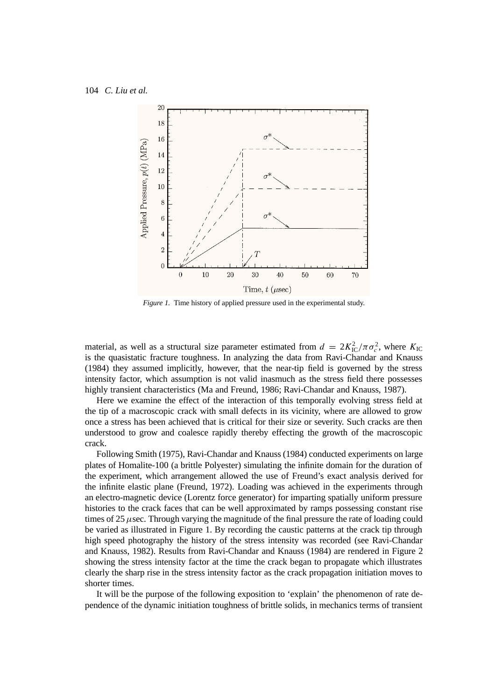

*Figure 1.* Time history of applied pressure used in the experimental study.

material, as well as a structural size parameter estimated from  $d = 2K_{\rm IC}^2/\pi\sigma_c^2$ , where  $K_{\rm IC}$ is the quasistatic fracture toughness. In analyzing the data from Ravi-Chandar and Knauss (1984) they assumed implicitly, however, that the near-tip field is governed by the stress intensity factor, which assumption is not valid inasmuch as the stress field there possesses highly transient characteristics (Ma and Freund, 1986; Ravi-Chandar and Knauss, 1987).

Here we examine the effect of the interaction of this temporally evolving stress field at the tip of a macroscopic crack with small defects in its vicinity, where are allowed to grow once a stress has been achieved that is critical for their size or severity. Such cracks are then understood to grow and coalesce rapidly thereby effecting the growth of the macroscopic crack.

Following Smith (1975), Ravi-Chandar and Knauss (1984) conducted experiments on large plates of Homalite-100 (a brittle Polyester) simulating the infinite domain for the duration of the experiment, which arrangement allowed the use of Freund's exact analysis derived for the infinite elastic plane (Freund, 1972). Loading was achieved in the experiments through an electro-magnetic device (Lorentz force generator) for imparting spatially uniform pressure histories to the crack faces that can be well approximated by ramps possessing constant rise times of 25  $\mu$ sec. Through varying the magnitude of the final pressure the rate of loading could be varied as illustrated in Figure 1. By recording the caustic patterns at the crack tip through high speed photography the history of the stress intensity was recorded (see Ravi-Chandar and Knauss, 1982). Results from Ravi-Chandar and Knauss (1984) are rendered in Figure 2 showing the stress intensity factor at the time the crack began to propagate which illustrates clearly the sharp rise in the stress intensity factor as the crack propagation initiation moves to shorter times.

It will be the purpose of the following exposition to 'explain' the phenomenon of rate dependence of the dynamic initiation toughness of brittle solids, in mechanics terms of transient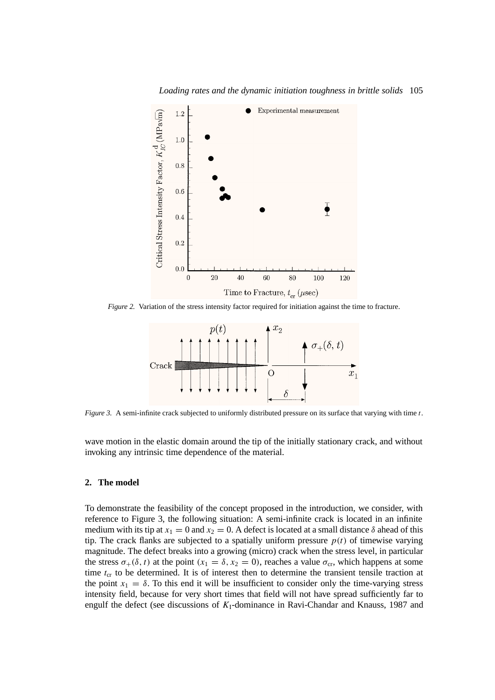



*Figure 2.* Variation of the stress intensity factor required for initiation against the time to fracture.



*Figure 3.* A semi-infinite crack subjected to uniformly distributed pressure on its surface that varying with time *t*.

wave motion in the elastic domain around the tip of the initially stationary crack, and without invoking any intrinsic time dependence of the material.

## **2. The model**

To demonstrate the feasibility of the concept proposed in the introduction, we consider, with reference to Figure 3, the following situation: A semi-infinite crack is located in an infinite medium with its tip at  $x_1 = 0$  and  $x_2 = 0$ . A defect is located at a small distance  $\delta$  ahead of this tip. The crack flanks are subjected to a spatially uniform pressure  $p(t)$  of timewise varying magnitude. The defect breaks into a growing (micro) crack when the stress level, in particular the stress  $\sigma_+(\delta, t)$  at the point  $(x_1 = \delta, x_2 = 0)$ , reaches a value  $\sigma_{cr}$ , which happens at some time  $t_{cr}$  to be determined. It is of interest then to determine the transient tensile traction at the point  $x_1 = \delta$ . To this end it will be insufficient to consider only the time-varying stress intensity field, because for very short times that field will not have spread sufficiently far to engulf the defect (see discussions of *K*I-dominance in Ravi-Chandar and Knauss, 1987 and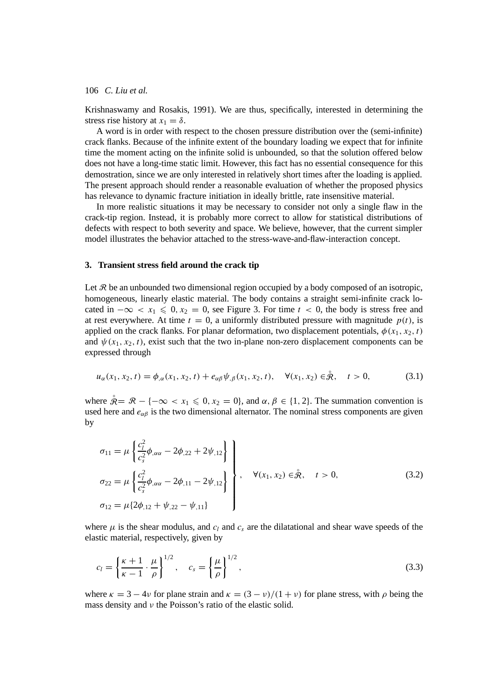Krishnaswamy and Rosakis, 1991). We are thus, specifically, interested in determining the stress rise history at  $x_1 = \delta$ .

A word is in order with respect to the chosen pressure distribution over the (semi-infinite) crack flanks. Because of the infinite extent of the boundary loading we expect that for infinite time the moment acting on the infinite solid is unbounded, so that the solution offered below does not have a long-time static limit. However, this fact has no essential consequence for this demostration, since we are only interested in relatively short times after the loading is applied. The present approach should render a reasonable evaluation of whether the proposed physics has relevance to dynamic fracture initiation in ideally brittle, rate insensitive material.

In more realistic situations it may be necessary to consider not only a single flaw in the crack-tip region. Instead, it is probably more correct to allow for statistical distributions of defects with respect to both severity and space. We believe, however, that the current simpler model illustrates the behavior attached to the stress-wave-and-flaw-interaction concept.

#### **3. Transient stress field around the crack tip**

Let  $\mathcal R$  be an unbounded two dimensional region occupied by a body composed of an isotropic, homogeneous, linearly elastic material. The body contains a straight semi-infinite crack located in  $-\infty < x_1 \leq 0, x_2 = 0$ , see Figure 3. For time  $t < 0$ , the body is stress free and at rest everywhere. At time  $t = 0$ , a uniformly distributed pressure with magnitude  $p(t)$ , is applied on the crack flanks. For planar deformation, two displacement potentials,  $\phi(x_1, x_2, t)$ and  $\psi(x_1, x_2, t)$ , exist such that the two in-plane non-zero displacement components can be expressed through

$$
u_{\alpha}(x_1, x_2, t) = \phi_{,\alpha}(x_1, x_2, t) + e_{\alpha\beta}\psi_{,\beta}(x_1, x_2, t), \quad \forall (x_1, x_2) \in \overset{\circ}{\mathcal{R}}, \quad t > 0,
$$
 (3.1)

where  $\overset{\circ}{\mathcal{R}} = \mathcal{R} - \{-\infty < x_1 \leqslant 0, x_2 = 0\}$ , and  $\alpha, \beta \in \{1, 2\}$ . The summation convention is used here and  $e_{\alpha\beta}$  is the two dimensional alternator. The nominal stress components are given by

$$
\sigma_{11} = \mu \left\{ \frac{c_l^2}{c_s^2} \phi_{,\alpha\alpha} - 2\phi_{,22} + 2\psi_{,12} \right\} \n\sigma_{22} = \mu \left\{ \frac{c_l^2}{c_s^2} \phi_{,\alpha\alpha} - 2\phi_{,11} - 2\psi_{,12} \right\} , \quad \forall (x_1, x_2) \in \mathcal{\mathring{R}}, \quad t > 0, \n\sigma_{12} = \mu \left\{ 2\phi_{,12} + \psi_{,22} - \psi_{,11} \right\}
$$
\n(3.2)

where  $\mu$  is the shear modulus, and  $c_l$  and  $c_s$  are the dilatational and shear wave speeds of the elastic material, respectively, given by

$$
c_l = \left\{ \frac{\kappa + 1}{\kappa - 1} \cdot \frac{\mu}{\rho} \right\}^{1/2}, \quad c_s = \left\{ \frac{\mu}{\rho} \right\}^{1/2}, \tag{3.3}
$$

where  $\kappa = 3 - 4\nu$  for plane strain and  $\kappa = (3 - \nu)/(1 + \nu)$  for plane stress, with  $\rho$  being the mass density and *ν* the Poisson's ratio of the elastic solid.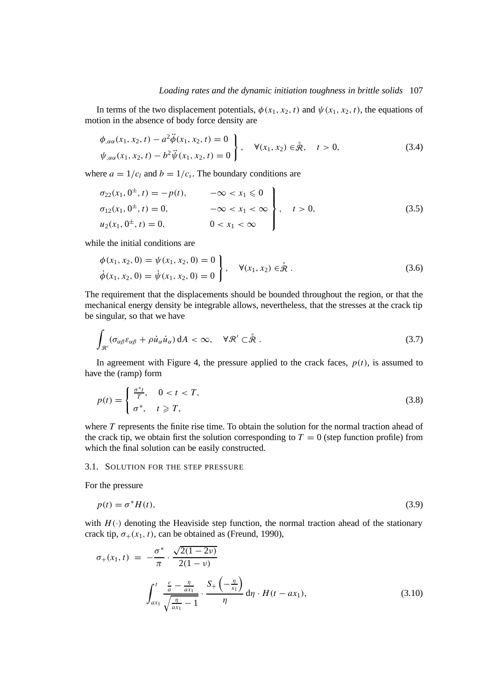## *Loading rates and the dynamic initiation toughness in brittle solids* 107

In terms of the two displacement potentials,  $\phi(x_1, x_2, t)$  and  $\psi(x_1, x_2, t)$ , the equations of motion in the absence of body force density are

$$
\begin{aligned}\n\phi_{,\alpha\alpha}(x_1, x_2, t) - a^2 \ddot{\phi}(x_1, x_2, t) &= 0 \\
\psi_{,\alpha\alpha}(x_1, x_2, t) - b^2 \ddot{\psi}(x_1, x_2, t) &= 0\n\end{aligned}\n\bigg\}, \quad \forall (x_1, x_2) \in \overset{\circ}{\mathcal{R}}, \quad t > 0,\n\tag{3.4}
$$

where  $a = 1/c_l$  and  $b = 1/c_s$ . The boundary conditions are

$$
\sigma_{22}(x_1, 0^{\pm}, t) = -p(t), \quad -\infty < x_1 \le 0
$$
  
\n
$$
\sigma_{12}(x_1, 0^{\pm}, t) = 0, \quad -\infty < x_1 < \infty
$$
  
\n
$$
u_2(x_1, 0^{\pm}, t) = 0, \quad 0 < x_1 < \infty
$$
\n(3.5)

while the initial conditions are

$$
\begin{aligned}\n\phi(x_1, x_2, 0) &= \psi(x_1, x_2, 0) = 0 \\
\dot{\phi}(x_1, x_2, 0) &= \dot{\psi}(x_1, x_2, 0) = 0\n\end{aligned}
$$
\n
$$
\forall (x_1, x_2) \in \mathring{\mathcal{R}}.
$$
\n(3.6)

The requirement that the displacements should be bounded throughout the region, or that the mechanical energy density be integrable allows, nevertheless, that the stresses at the crack tip be singular, so that we have

$$
\int_{\mathcal{R}'} (\sigma_{\alpha\beta}\varepsilon_{\alpha\beta} + \rho \dot{u}_{\alpha}\dot{u}_{\alpha}) dA < \infty, \quad \forall \mathcal{R}' \subset \mathring{\mathcal{R}}.
$$
\n(3.7)

In agreement with Figure 4, the pressure applied to the crack faces,  $p(t)$ , is assumed to have the (ramp) form

$$
p(t) = \begin{cases} \frac{\sigma^*t}{T}, & 0 < t < T, \\ \sigma^*, & t \geq T, \end{cases}
$$
 (3.8)

where *T* represents the finite rise time. To obtain the solution for the normal traction ahead of the crack tip, we obtain first the solution corresponding to  $T = 0$  (step function profile) from which the final solution can be easily constructed.

#### 3.1. SOLUTION FOR THE STEP PRESSURE

For the pressure

$$
p(t) = \sigma^* H(t),\tag{3.9}
$$

with  $H(\cdot)$  denoting the Heaviside step function, the normal traction ahead of the stationary crack tip,  $\sigma_+(x_1, t)$ , can be obtained as (Freund, 1990),

$$
\sigma_{+}(x_{1}, t) = -\frac{\sigma^{*}}{\pi} \cdot \frac{\sqrt{2(1-2\nu)}}{2(1-\nu)}
$$

$$
\int_{ax_{1}}^{t} \frac{\frac{c}{a} - \frac{\eta}{ax_{1}}}{\sqrt{\frac{\eta}{ax_{1}} - 1}} \cdot \frac{S_{+}\left(-\frac{\eta}{x_{1}}\right)}{\eta} d\eta \cdot H(t - ax_{1}), \tag{3.10}
$$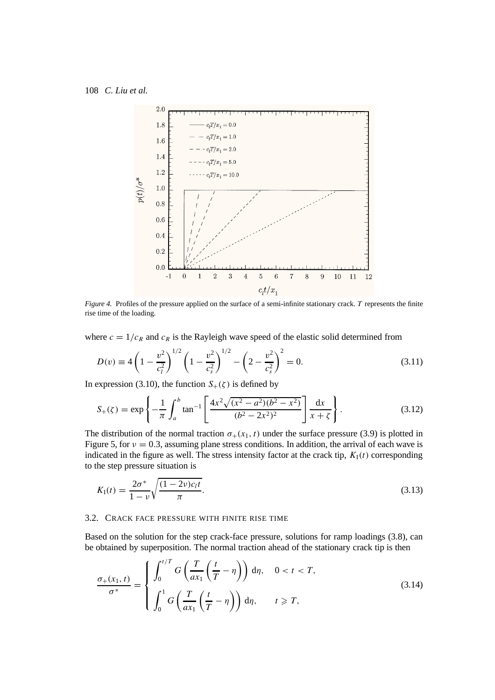

*Figure 4.* Profiles of the pressure applied on the surface of a semi-infinite stationary crack. *T* represents the finite rise time of the loading.

where  $c = 1/c_R$  and  $c_R$  is the Rayleigh wave speed of the elastic solid determined from

$$
D(v) \equiv 4\left(1 - \frac{v^2}{c_l^2}\right)^{1/2} \left(1 - \frac{v^2}{c_s^2}\right)^{1/2} - \left(2 - \frac{v^2}{c_s^2}\right)^2 = 0.
$$
 (3.11)

In expression (3.10), the function  $S_+(\zeta)$  is defined by

$$
S_{+}(\zeta) = \exp\left\{-\frac{1}{\pi} \int_{a}^{b} \tan^{-1} \left[\frac{4x^{2}\sqrt{(x^{2}-a^{2})(b^{2}-x^{2})}}{(b^{2}-2x^{2})^{2}}\right] \frac{dx}{x+\zeta}\right\}.
$$
 (3.12)

The distribution of the normal traction  $\sigma_+(x_1, t)$  under the surface pressure (3.9) is plotted in Figure 5, for  $\nu = 0.3$ , assuming plane stress conditions. In addition, the arrival of each wave is indicated in the figure as well. The stress intensity factor at the crack tip,  $K_I(t)$  corresponding to the step pressure situation is

$$
K_{\rm I}(t) = \frac{2\sigma^*}{1-\nu} \sqrt{\frac{(1-2\nu)c_l t}{\pi}}.
$$
\n(3.13)

## 3.2. CRACK FACE PRESSURE WITH FINITE RISE TIME

Based on the solution for the step crack-face pressure, solutions for ramp loadings (3.8), can be obtained by superposition. The normal traction ahead of the stationary crack tip is then

$$
\frac{\sigma_{+}(x_1, t)}{\sigma^*} = \begin{cases} \int_0^{t/T} G\left(\frac{T}{ax_1}\left(\frac{t}{T} - \eta\right)\right) d\eta, & 0 < t < T, \\ \int_0^1 G\left(\frac{T}{ax_1}\left(\frac{t}{T} - \eta\right)\right) d\eta, & t \ge T, \end{cases}
$$
\n(3.14)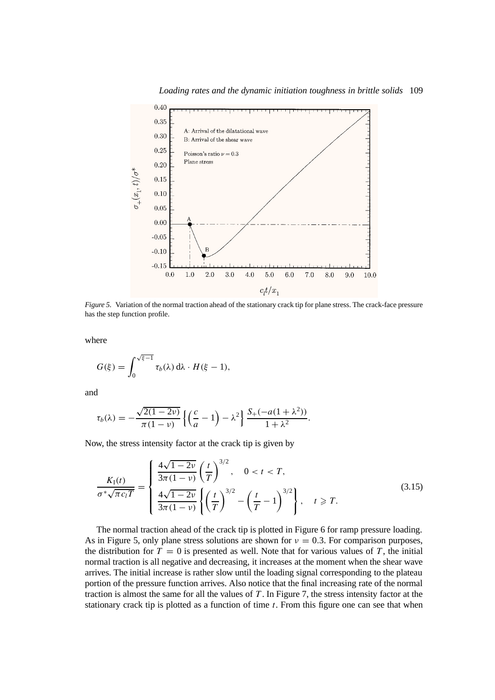

*Loading rates and the dynamic initiation toughness in brittle solids* 109

*Figure 5.* Variation of the normal traction ahead of the stationary crack tip for plane stress. The crack-face pressure has the step function profile.

where

$$
G(\xi) = \int_0^{\sqrt{\xi-1}} \tau_b(\lambda) d\lambda \cdot H(\xi-1),
$$

and

$$
\tau_b(\lambda) = -\frac{\sqrt{2(1-2\nu)}}{\pi(1-\nu)} \left\{ \left( \frac{c}{a} - 1 \right) - \lambda^2 \right\} \frac{S_+(-a(1+\lambda^2))}{1+\lambda^2}.
$$

Now, the stress intensity factor at the crack tip is given by

$$
\frac{K_{\rm I}(t)}{\sigma^* \sqrt{\pi c_l T}} = \begin{cases} \frac{4\sqrt{1-2\nu}}{3\pi (1-\nu)} \left(\frac{t}{T}\right)^{3/2}, & 0 < t < T, \\ \frac{4\sqrt{1-2\nu}}{3\pi (1-\nu)} \left\{ \left(\frac{t}{T}\right)^{3/2} - \left(\frac{t}{T} - 1\right)^{3/2} \right\}, & t \ge T. \end{cases}
$$
(3.15)

The normal traction ahead of the crack tip is plotted in Figure 6 for ramp pressure loading. As in Figure 5, only plane stress solutions are shown for  $\nu = 0.3$ . For comparison purposes, the distribution for  $T = 0$  is presented as well. Note that for various values of  $T$ , the initial normal traction is all negative and decreasing, it increases at the moment when the shear wave arrives. The initial increase is rather slow until the loading signal corresponding to the plateau portion of the pressure function arrives. Also notice that the final increasing rate of the normal traction is almost the same for all the values of *T* . In Figure 7, the stress intensity factor at the stationary crack tip is plotted as a function of time *t*. From this figure one can see that when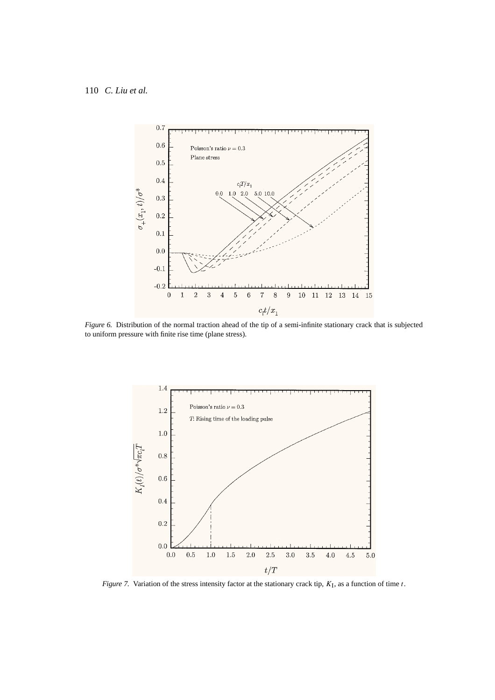

*Figure 6.* Distribution of the normal traction ahead of the tip of a semi-infinite stationary crack that is subjected to uniform pressure with finite rise time (plane stress).



*Figure 7.* Variation of the stress intensity factor at the stationary crack tip, *K*I, as a function of time *t*.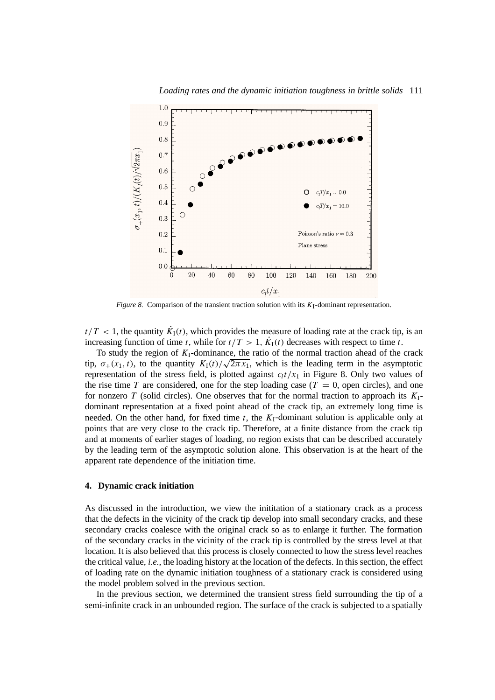

*Loading rates and the dynamic initiation toughness in brittle solids* 111

*Figure 8.* Comparison of the transient traction solution with its  $K<sub>I</sub>$ -dominant representation.

 $t/T < 1$ , the quantity  $K_I(t)$ , which provides the measure of loading rate at the crack tip, is an increasing function of time *t*, while for  $t/T > 1$ ,  $\dot{K}_{I}(t)$  decreases with respect to time *t*.

To study the region of  $K<sub>I</sub>$ -dominance, the ratio of the normal traction ahead of the crack tip,  $\sigma_{+}(x_1, t)$ , to the quantity  $K_1(t)/\sqrt{2\pi x_1}$ , which is the leading term in the asymptotic representation of the stress field, is plotted against  $c_l t / x_1$  in Figure 8. Only two values of the rise time *T* are considered, one for the step loading case ( $T = 0$ , open circles), and one for nonzero *T* (solid circles). One observes that for the normal traction to approach its *K*Idominant representation at a fixed point ahead of the crack tip, an extremely long time is needed. On the other hand, for fixed time  $t$ , the  $K<sub>I</sub>$ -dominant solution is applicable only at points that are very close to the crack tip. Therefore, at a finite distance from the crack tip and at moments of earlier stages of loading, no region exists that can be described accurately by the leading term of the asymptotic solution alone. This observation is at the heart of the apparent rate dependence of the initiation time.

# **4. Dynamic crack initiation**

As discussed in the introduction, we view the inititation of a stationary crack as a process that the defects in the vicinity of the crack tip develop into small secondary cracks, and these secondary cracks coalesce with the original crack so as to enlarge it further. The formation of the secondary cracks in the vicinity of the crack tip is controlled by the stress level at that location. It is also believed that this process is closely connected to how the stress level reaches the critical value, *i.e.*, the loading history at the location of the defects. In this section, the effect of loading rate on the dynamic initiation toughness of a stationary crack is considered using the model problem solved in the previous section.

In the previous section, we determined the transient stress field surrounding the tip of a semi-infinite crack in an unbounded region. The surface of the crack is subjected to a spatially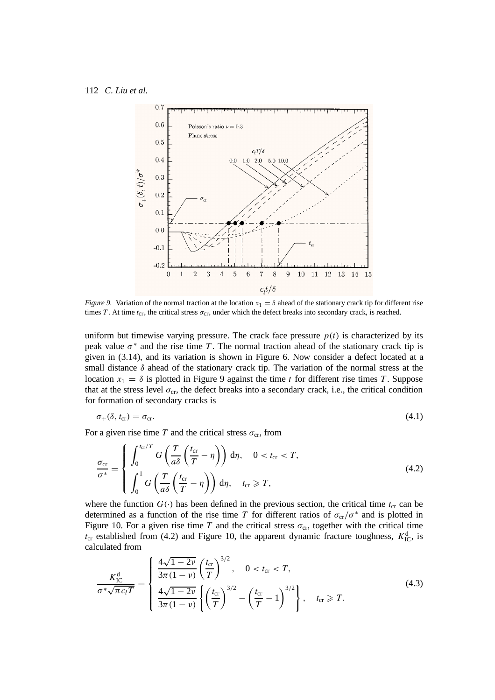

*Figure 9.* Variation of the normal traction at the location  $x_1 = \delta$  ahead of the stationary crack tip for different rise times *T*. At time  $t_{cr}$ , the critical stress  $\sigma_{cr}$ , under which the defect breaks into secondary crack, is reached.

uniform but timewise varying pressure. The crack face pressure  $p(t)$  is characterized by its peak value  $\sigma^*$  and the rise time *T*. The normal traction ahead of the stationary crack tip is given in (3.14), and its variation is shown in Figure 6. Now consider a defect located at a small distance *δ* ahead of the stationary crack tip. The variation of the normal stress at the location  $x_1 = \delta$  is plotted in Figure 9 against the time *t* for different rise times *T*. Suppose that at the stress level  $\sigma_{cr}$ , the defect breaks into a secondary crack, i.e., the critical condition for formation of secondary cracks is

$$
\sigma_{+}(\delta, t_{cr}) = \sigma_{cr}.\tag{4.1}
$$

For a given rise time *T* and the critical stress  $\sigma_{cr}$ , from

$$
\frac{\sigma_{\rm cr}}{\sigma^*} = \begin{cases}\n\int_0^{t_{\rm cr}/T} G\left(\frac{T}{a\delta} \left(\frac{t_{\rm cr}}{T} - \eta\right)\right) d\eta, & 0 < t_{\rm cr} < T, \\
\int_0^1 G\left(\frac{T}{a\delta} \left(\frac{t_{\rm cr}}{T} - \eta\right)\right) d\eta, & t_{\rm cr} \ge T,\n\end{cases}
$$
\n(4.2)

where the function  $G(\cdot)$  has been defined in the previous section, the critical time  $t_{cr}$  can be determined as a function of the rise time *T* for different ratios of  $\sigma_{cr}/\sigma^*$  and is plotted in Figure 10. For a given rise time *T* and the critical stress  $\sigma_{cr}$ , together with the critical time  $t_{cr}$  established from (4.2) and Figure 10, the apparent dynamic fracture toughness,  $K_{\text{IC}}^{\text{d}}$ , is calculated from

$$
\frac{K_{\rm IC}^{\rm d}}{\sigma^* \sqrt{\pi c_l T}} = \begin{cases} \frac{4\sqrt{1 - 2\nu}}{3\pi (1 - \nu)} \left(\frac{t_{\rm cr}}{T}\right)^{3/2}, & 0 < t_{\rm cr} < T, \\ \frac{4\sqrt{1 - 2\nu}}{3\pi (1 - \nu)} \left\{ \left(\frac{t_{\rm cr}}{T}\right)^{3/2} - \left(\frac{t_{\rm cr}}{T} - 1\right)^{3/2} \right\}, & t_{\rm cr} \ge T. \end{cases}
$$
(4.3)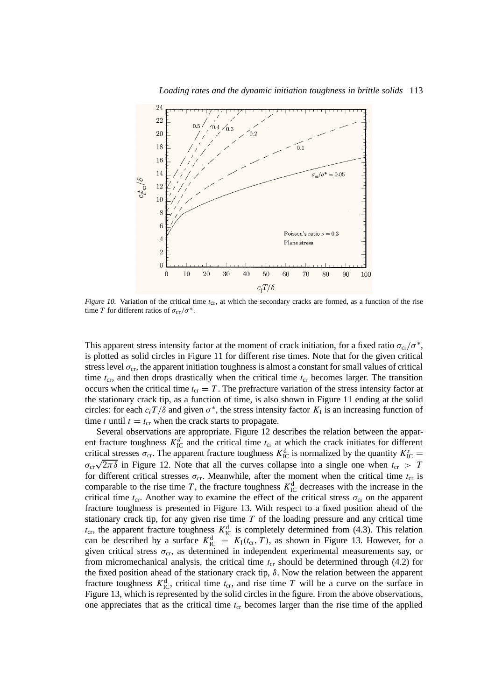

*Loading rates and the dynamic initiation toughness in brittle solids* 113

*Figure 10.* Variation of the critical time  $t_{cr}$ , at which the secondary cracks are formed, as a function of the rise time *T* for different ratios of  $\sigma_{cr}/\sigma^*$ .

This apparent stress intensity factor at the moment of crack initiation, for a fixed ratio  $\sigma_{cr}/\sigma^*$ , is plotted as solid circles in Figure 11 for different rise times. Note that for the given critical stress level  $\sigma_{cr}$ , the apparent initiation toughness is almost a constant for small values of critical time  $t_{cr}$ , and then drops drastically when the critical time  $t_{cr}$  becomes larger. The transition occurs when the critical time  $t_{cr} = T$ . The prefracture variation of the stress intensity factor at the stationary crack tip, as a function of time, is also shown in Figure 11 ending at the solid circles: for each  $c_lT/\delta$  and given  $\sigma^*$ , the stress intensity factor  $K_I$  is an increasing function of time *t* until  $t = t_{cr}$  when the crack starts to propagate.

Several observations are appropriate. Figure 12 describes the relation between the apparent fracture toughness  $K_{\text{IC}}^d$  and the critical time  $t_{\text{cr}}$  at which the crack initiates for different critical stresses  $\sigma_{cr}$ . The apparent fracture toughness  $K_{IC}^d$  is normalized by the quantity  $K_{IC}^s$  = *σ*<sub>cr</sub> $\sqrt{2\pi\delta}$  in Figure 12. Note that all the curves collapse into a single one when  $t_{cr} > T$ for different critical stresses  $\sigma_{cr}$ . Meanwhile, after the moment when the critical time  $t_{cr}$  is comparable to the rise time *T*, the fracture toughness  $K_{\text{IC}}^d$  decreases with the increase in the critical time  $t_{cr}$ . Another way to examine the effect of the critical stress  $\sigma_{cr}$  on the apparent fracture toughness is presented in Figure 13. With respect to a fixed position ahead of the stationary crack tip, for any given rise time *T* of the loading pressure and any critical time  $t_{cr}$ , the apparent fracture toughness  $K_{IC}^d$  is completely determined from (4.3). This relation can be described by a surface  $K_{\text{IC}}^d = K_I(t_{\text{cr}},T)$ , as shown in Figure 13. However, for a given critical stress  $\sigma_{cr}$ , as determined in independent experimental measurements say, or from micromechanical analysis, the critical time  $t_{cr}$  should be determined through (4.2) for the fixed position ahead of the stationary crack tip, *δ*. Now the relation between the apparent fracture toughness  $K_{\text{IC}}^d$ , critical time  $t_{\text{cr}}$ , and rise time *T* will be a curve on the surface in Figure 13, which is represented by the solid circles in the figure. From the above observations, one appreciates that as the critical time  $t_{cr}$  becomes larger than the rise time of the applied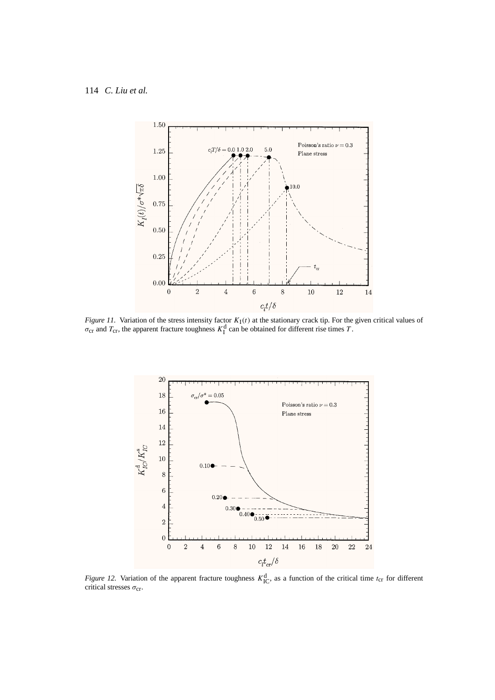

*Figure 11.* Variation of the stress intensity factor  $K_I(t)$  at the stationary crack tip. For the given critical values of  $\sigma_{cr}$  and  $T_{cr}$ , the apparent fracture toughness  $K_I^d$  can be obtained for different rise times *T*.



*Figure 12.* Variation of the apparent fracture toughness  $K_{\text{IC}}^d$ , as a function of the critical time  $t_{\text{cr}}$  for different critical stresses σ<sub>cr</sub>.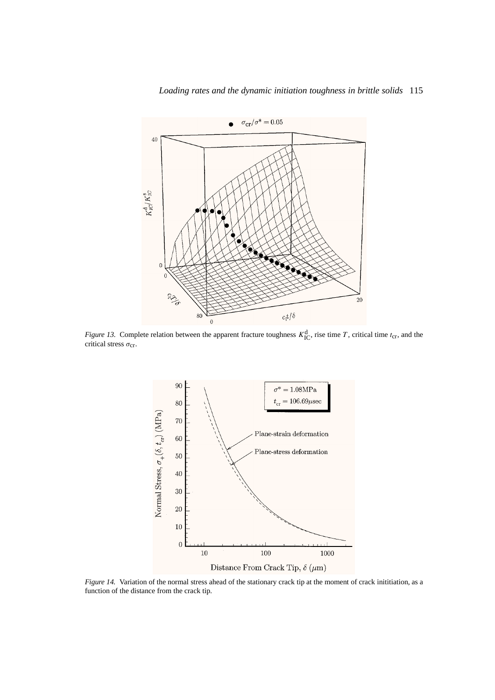

*Figure 13.* Complete relation between the apparent fracture toughness  $K_{\text{IC}}^d$ , rise time *T*, critical time *t*<sub>cr</sub>, and the critical stress σ<sub>cr</sub>.



*Figure 14.* Variation of the normal stress ahead of the stationary crack tip at the moment of crack inititiation, as a function of the distance from the crack tip.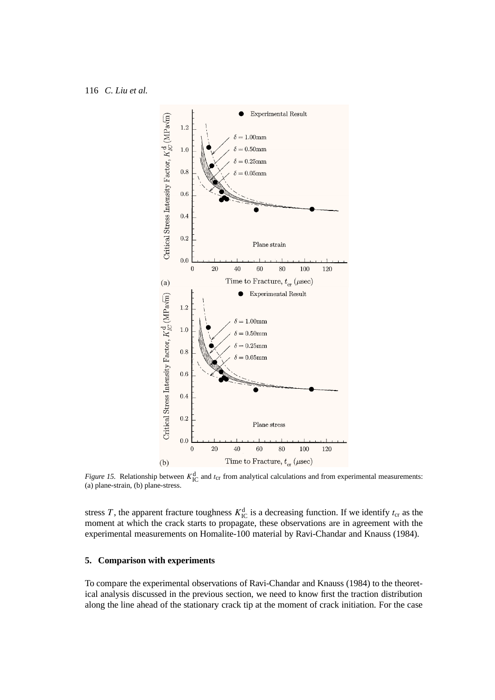

*Figure 15.* Relationship between  $K_{IC}^d$  and  $t_{cr}$  from analytical calculations and from experimental measurements: (a) plane-strain, (b) plane-stress.

stress *T*, the apparent fracture toughness  $K_{\text{IC}}^{\text{d}}$  is a decreasing function. If we identify  $t_{\text{cr}}$  as the moment at which the crack starts to propagate, these observations are in agreement with the experimental measurements on Homalite-100 material by Ravi-Chandar and Knauss (1984).

# **5. Comparison with experiments**

To compare the experimental observations of Ravi-Chandar and Knauss (1984) to the theoretical analysis discussed in the previous section, we need to know first the traction distribution along the line ahead of the stationary crack tip at the moment of crack initiation. For the case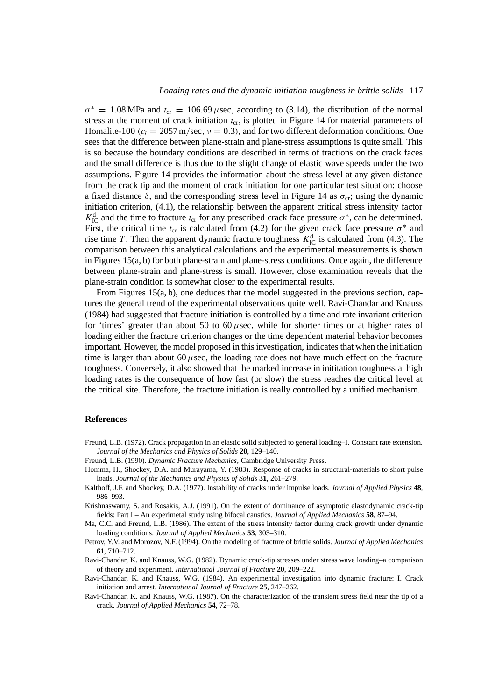$\sigma^* = 1.08 \text{ MPa}$  and  $t_{cr} = 106.69 \mu \text{sec}$ , according to (3.14), the distribution of the normal stress at the moment of crack initiation  $t_{cr}$ , is plotted in Figure 14 for material parameters of Homalite-100  $(c_l = 2057 \text{ m/sec}, v = 0.3)$ , and for two different deformation conditions. One sees that the difference between plane-strain and plane-stress assumptions is quite small. This is so because the boundary conditions are described in terms of tractions on the crack faces and the small difference is thus due to the slight change of elastic wave speeds under the two assumptions. Figure 14 provides the information about the stress level at any given distance from the crack tip and the moment of crack initiation for one particular test situation: choose a fixed distance  $\delta$ , and the corresponding stress level in Figure 14 as  $\sigma_{cr}$ ; using the dynamic initiation criterion, (4.1), the relationship between the apparent critical stress intensity factor  $K_{\text{IC}}^{\text{d}}$  and the time to fracture  $t_{\text{cr}}$  for any prescribed crack face pressure  $\sigma^*$ , can be determined. First, the critical time  $t_{cr}$  is calculated from (4.2) for the given crack face pressure  $\sigma^*$  and rise time *T*. Then the apparent dynamic fracture toughness  $K_{\text{IC}}^{\text{d}}$  is calculated from (4.3). The comparison between this analytical calculations and the experimental measurements is shown in Figures 15(a, b) for both plane-strain and plane-stress conditions. Once again, the difference between plane-strain and plane-stress is small. However, close examination reveals that the plane-strain condition is somewhat closer to the experimental results.

From Figures 15(a, b), one deduces that the model suggested in the previous section, captures the general trend of the experimental observations quite well. Ravi-Chandar and Knauss (1984) had suggested that fracture initiation is controlled by a time and rate invariant criterion for 'times' greater than about 50 to 60*µ*sec, while for shorter times or at higher rates of loading either the fracture criterion changes or the time dependent material behavior becomes important. However, the model proposed in this investigation, indicates that when the initiation time is larger than about 60  $\mu$ sec, the loading rate does not have much effect on the fracture toughness. Conversely, it also showed that the marked increase in inititation toughness at high loading rates is the consequence of how fast (or slow) the stress reaches the critical level at the critical site. Therefore, the fracture initiation is really controlled by a unified mechanism.

### **References**

- Freund, L.B. (1972). Crack propagation in an elastic solid subjected to general loading–I. Constant rate extension. *Journal of the Mechanics and Physics of Solids* **20**, 129–140.
- Freund, L.B. (1990). *Dynamic Fracture Mechanics*, Cambridge University Press.
- Homma, H., Shockey, D.A. and Murayama, Y. (1983). Response of cracks in structural-materials to short pulse loads. *Journal of the Mechanics and Physics of Solids* **31**, 261–279.
- Kalthoff, J.F. and Shockey, D.A. (1977). Instability of cracks under impulse loads. *Journal of Applied Physics* **48**, 986–993.
- Krishnaswamy, S. and Rosakis, A.J. (1991). On the extent of dominance of asymptotic elastodynamic crack-tip fields: Part I – An experimetal study using bifocal caustics. *Journal of Applied Mechanics* **58**, 87–94.

Ma, C.C. and Freund, L.B. (1986). The extent of the stress intensity factor during crack growth under dynamic loading conditions. *Journal of Applied Mechanics* **53**, 303–310.

- Petrov, Y.V. and Morozov, N.F. (1994). On the modeling of fracture of brittle solids. *Journal of Applied Mechanics* **61**, 710–712.
- Ravi-Chandar, K. and Knauss, W.G. (1982). Dynamic crack-tip stresses under stress wave loading–a comparison of theory and experiment. *International Journal of Fracture* **20**, 209–222.
- Ravi-Chandar, K. and Knauss, W.G. (1984). An experimental investigation into dynamic fracture: I. Crack initiation and arrest. *International Journal of Fracture* **25**, 247–262.
- Ravi-Chandar, K. and Knauss, W.G. (1987). On the characterization of the transient stress field near the tip of a crack. *Journal of Applied Mechanics* **54**, 72–78.